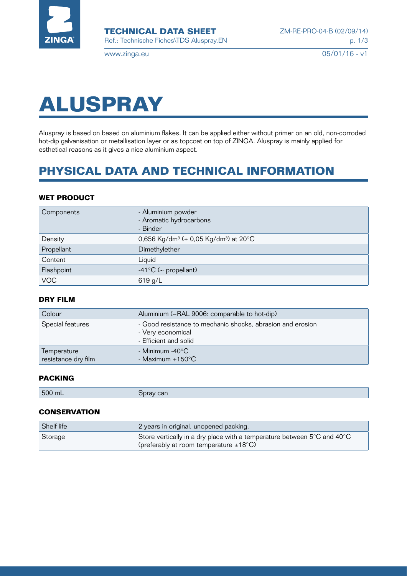

www.zinga.eu

 $05/01/16 - v1$ 



Aluspray is based on based on aluminium flakes. It can be applied either without primer on an old, non-corroded hot-dip galvanisation or metallisation layer or as topcoat on top of ZINGA. Aluspray is mainly applied for esthetical reasons as it gives a nice aluminium aspect.

# **Physical data and technical information**

### **Wet product**

| Components | - Aluminium powder<br>- Aromatic hydrocarbons<br>- Binder          |
|------------|--------------------------------------------------------------------|
| Density    | 0,656 Kg/dm <sup>3</sup> ( $\pm$ 0,05 Kg/dm <sup>3</sup> ) at 20°C |
| Propellant | Dimethylether                                                      |
| Content    | Liquid                                                             |
| Flashpoint | -41 $\degree$ C (~ propellant)                                     |
| <b>VOC</b> | 619 g/L                                                            |

#### **Dry film**

| Colour                             | Aluminium (~RAL 9006: comparable to hot-dip)                                                             |
|------------------------------------|----------------------------------------------------------------------------------------------------------|
| Special features                   | - Good resistance to mechanic shocks, abrasion and erosion<br>- Very economical<br>- Efficient and solid |
| Temperature<br>resistance dry film | - Minimum -40 $^{\circ}$ C<br>- Maximum $+150^{\circ}$ C                                                 |

#### **packing**

| 500<br>can<br>mL<br>17 V |  |
|--------------------------|--|
|--------------------------|--|

### **conservation**

| Shelf life | 2 years in original, unopened packing.                                                                                                             |
|------------|----------------------------------------------------------------------------------------------------------------------------------------------------|
| Storage    | Store vertically in a dry place with a temperature between $5^{\circ}$ C and $40^{\circ}$ C<br>(preferably at room temperature $\pm 18^{\circ}$ C) |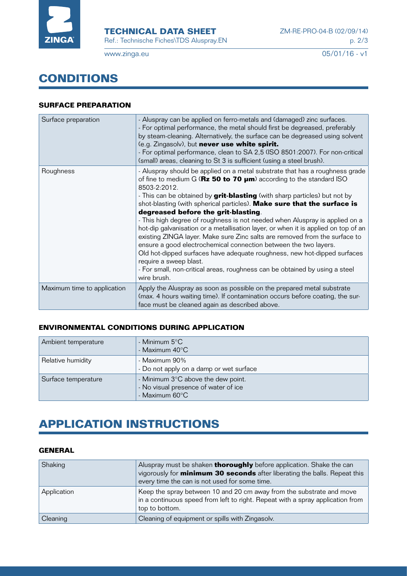

**TECHNICAL DATA SHEET** Ref.: Technische Fiches\TDS Aluspray.EN

www.zinga.eu

 $05/01/16 - v1$ 

# **cONDITIONS**

## **surface preparation**

| Surface preparation         | - Aluspray can be applied on ferro-metals and (damaged) zinc surfaces.<br>- For optimal performance, the metal should first be degreased, preferably<br>by steam-cleaning. Alternatively, the surface can be degreased using solvent<br>(e.g. Zingasolv), but never use white spirit.<br>- For optimal performance, clean to SA 2,5 (ISO 8501:2007). For non-critical<br>(small) areas, cleaning to St 3 is sufficient (using a steel brush).                                                                                                                                                                                                                                                                                                                                                                                                                                                                 |
|-----------------------------|---------------------------------------------------------------------------------------------------------------------------------------------------------------------------------------------------------------------------------------------------------------------------------------------------------------------------------------------------------------------------------------------------------------------------------------------------------------------------------------------------------------------------------------------------------------------------------------------------------------------------------------------------------------------------------------------------------------------------------------------------------------------------------------------------------------------------------------------------------------------------------------------------------------|
| Roughness                   | - Aluspray should be applied on a metal substrate that has a roughness grade<br>of fine to medium $G$ ( $Rz$ 50 to 70 $\mu$ m) according to the standard ISO<br>8503-2:2012.<br>- This can be obtained by <b>grit-blasting</b> (with sharp particles) but not by<br>shot-blasting (with spherical particles). Make sure that the surface is<br>degreased before the grit-blasting.<br>- This high degree of roughness is not needed when Aluspray is applied on a<br>hot-dip galvanisation or a metallisation layer, or when it is applied on top of an<br>existing ZINGA layer. Make sure Zinc salts are removed from the surface to<br>ensure a good electrochemical connection between the two layers.<br>Old hot-dipped surfaces have adequate roughness, new hot-dipped surfaces<br>require a sweep blast.<br>- For small, non-critical areas, roughness can be obtained by using a steel<br>wire brush. |
| Maximum time to application | Apply the Aluspray as soon as possible on the prepared metal substrate<br>(max. 4 hours waiting time). If contamination occurs before coating, the sur-<br>face must be cleaned again as described above.                                                                                                                                                                                                                                                                                                                                                                                                                                                                                                                                                                                                                                                                                                     |

## **environmental conditions during application**

| Ambient temperature | - Minimum 5°C<br>- Maximum 40°C                                                              |
|---------------------|----------------------------------------------------------------------------------------------|
| Relative humidity   | - Maximum 90%<br>- Do not apply on a damp or wet surface                                     |
| Surface temperature | - Minimum 3°C above the dew point.<br>- No visual presence of water of ice<br>- Maximum 60°C |

# **application instructions**

## **General**

| Shaking     | Aluspray must be shaken <b>thoroughly</b> before application. Shake the can<br>vigorously for <b>minimum 30 seconds</b> after liberating the balls. Repeat this<br>every time the can is not used for some time. |
|-------------|------------------------------------------------------------------------------------------------------------------------------------------------------------------------------------------------------------------|
| Application | Keep the spray between 10 and 20 cm away from the substrate and move<br>in a continuous speed from left to right. Repeat with a spray application from<br>top to bottom.                                         |
| Cleaning    | Cleaning of equipment or spills with Zingasolv.                                                                                                                                                                  |